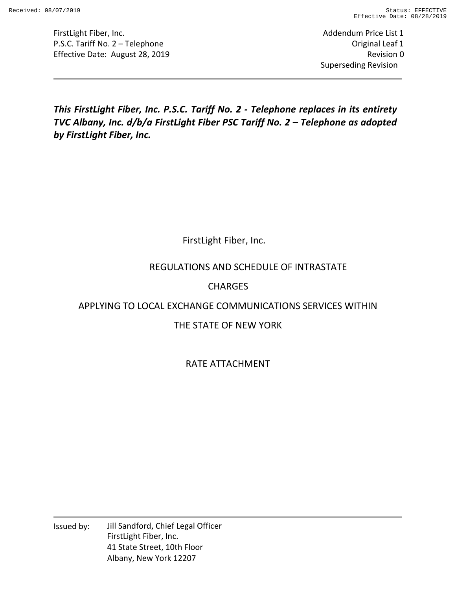Addendum Price List 1 Original Leaf 1 Revision 0 Superseding Revision

*This FirstLight Fiber, Inc. P.S.C. Tariff No. 2 - Telephone replaces in its entirety TVC Albany, Inc. d/b/a FirstLight Fiber PSC Tariff No. 2 – Telephone as adopted by FirstLight Fiber, Inc.* 

FirstLight Fiber, Inc.

# REGULATIONS AND SCHEDULE OF INTRASTATE

# CHARGES

# APPLYING TO LOCAL EXCHANGE COMMUNICATIONS SERVICES WITHIN

# THE STATE OF NEW YORK

# RATE ATTACHMENT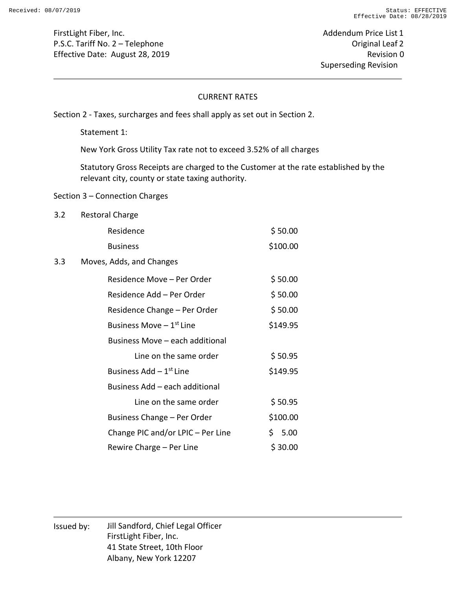Addendum Price List 1 Original Leaf 2 Revision 0 Superseding Revision

#### CURRENT RATES

Section 2 - Taxes, surcharges and fees shall apply as set out in Section 2.

Statement 1:

New York Gross Utility Tax rate not to exceed 3.52% of all charges

Statutory Gross Receipts are charged to the Customer at the rate established by the relevant city, county or state taxing authority.

#### Section 3 – Connection Charges

3.2 Restoral Charge

|     | Residence                             | \$50.00  |
|-----|---------------------------------------|----------|
|     | <b>Business</b>                       | \$100.00 |
| 3.3 | Moves, Adds, and Changes              |          |
|     | Residence Move – Per Order            | \$50.00  |
|     | Residence Add - Per Order             | \$50.00  |
|     | Residence Change - Per Order          | \$50.00  |
|     | Business Move $-1$ <sup>st</sup> Line | \$149.95 |
|     | Business Move - each additional       |          |
|     | Line on the same order                | \$50.95  |
|     | Business $Add - 1st$ Line             | \$149.95 |
|     | Business Add - each additional        |          |
|     | Line on the same order                | \$50.95  |
|     | Business Change - Per Order           | \$100.00 |
|     | Change PIC and/or LPIC - Per Line     | \$5.00   |
|     | Rewire Charge – Per Line              | \$30.00  |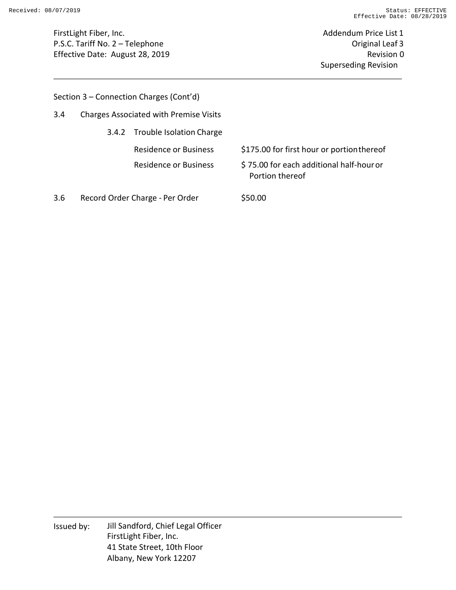Addendum Price List 1 Original Leaf 3 Revision 0 Superseding Revision

|  | Section 3 - Connection Charges (Cont'd) |  |  |
|--|-----------------------------------------|--|--|
|--|-----------------------------------------|--|--|

3.4.2 Trouble Isolation Charge

Residence or Business \$175.00 for first hour or portion thereof

Residence or Business \$ 75.00 for each additional half-hour or Portion thereof

3.6 Record Order Charge - Per Order \$50.00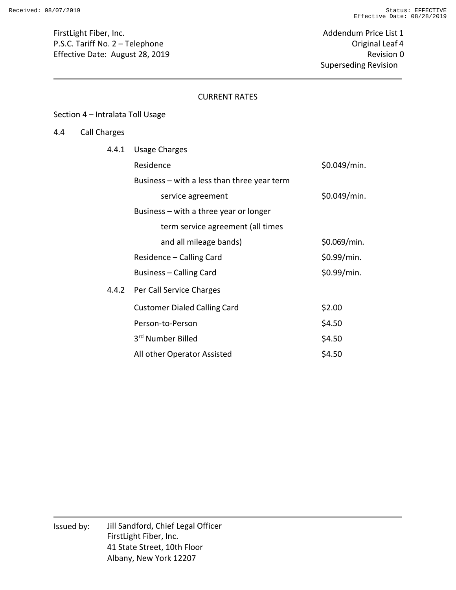Addendum Price List 1 Original Leaf 4 Revision 0 Superseding Revision

#### CURRENT RATES

#### Section 4 – Intralata Toll Usage

## 4.4 Call Charges

| 4.4.1 | <b>Usage Charges</b>                        |              |
|-------|---------------------------------------------|--------------|
|       | Residence                                   | \$0.049/min. |
|       | Business – with a less than three year term |              |
|       | service agreement                           | \$0.049/min. |
|       | Business – with a three year or longer      |              |
|       | term service agreement (all times           |              |
|       | and all mileage bands)                      | \$0.069/min. |
|       | Residence – Calling Card                    | \$0.99/min.  |
|       | Business – Calling Card                     | \$0.99/min.  |
| 4.4.2 | Per Call Service Charges                    |              |
|       | <b>Customer Dialed Calling Card</b>         | \$2.00       |
|       | Person-to-Person                            | \$4.50       |
|       | 3rd Number Billed                           | \$4.50       |
|       | All other Operator Assisted                 | \$4.50       |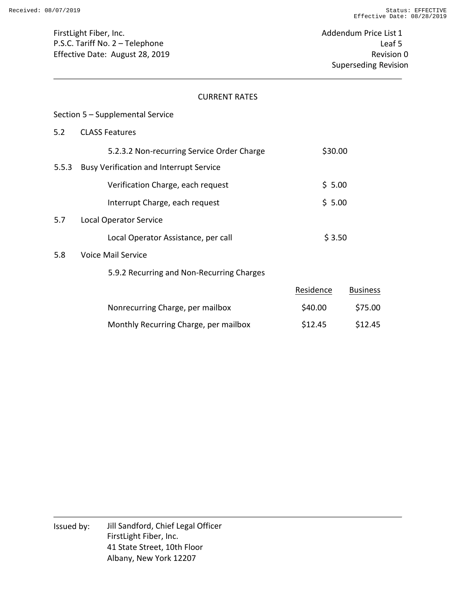Addendum Price List 1 Leaf 5 Revision 0 Superseding Revision

#### CURRENT RATES

#### Section 5 – Supplemental Service

#### 5.2 CLASS Features

|       | 5.2.3.2 Non-recurring Service Order Charge     | \$30.00   |                 |
|-------|------------------------------------------------|-----------|-----------------|
| 5.5.3 | <b>Busy Verification and Interrupt Service</b> |           |                 |
|       | Verification Charge, each request              | \$5.00    |                 |
|       | Interrupt Charge, each request                 | \$5.00    |                 |
| 5.7   | <b>Local Operator Service</b>                  |           |                 |
|       | Local Operator Assistance, per call            | \$3.50    |                 |
| 5.8   | <b>Voice Mail Service</b>                      |           |                 |
|       | 5.9.2 Recurring and Non-Recurring Charges      |           |                 |
|       |                                                | Residence | <b>Business</b> |
|       | Nonrecurring Charge, per mailbox               | \$40.00   | \$75.00         |
|       |                                                |           |                 |

Monthly Recurring Charge, per mailbox  $$12.45$  \$12.45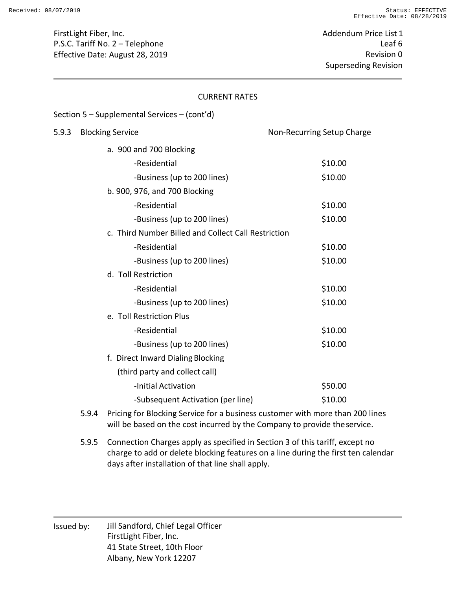Addendum Price List 1 Leaf 6 Revision 0 Superseding Revision

#### CURRENT RATES

#### Section 5 – Supplemental Services – (cont'd)

# 5.9.3 Blocking Service **No. 2.5 Setup Charge** Non-Recurring Setup Charge a. 900 and 700 Blocking -Residential \$10.00 -Business (up to 200 lines) \$10.00 b. 900, 976, and 700 Blocking -Residential \$10.00 -Business (up to 200 lines) \$10.00 c. Third Number Billed and Collect Call Restriction -Residential \$10.00 -Business (up to 200 lines)  $$10.00$ d. Toll Restriction -Residential \$10.00 -Business (up to 200 lines) \$10.00 e. Toll Restriction Plus -Residential \$10.00 -Business (up to 200 lines) \$10.00 f. Direct Inward Dialing Blocking (third party and collect call) -Initial Activation **\$50.00**

5.9.4 Pricing for Blocking Service for a business customer with more than 200 lines will be based on the cost incurred by the Company to provide the service.

-Subsequent Activation (per line) \$10.00

5.9.5 Connection Charges apply as specified in Section 3 of this tariff, except no charge to add or delete blocking features on a line during the first ten calendar days after installation of that line shall apply.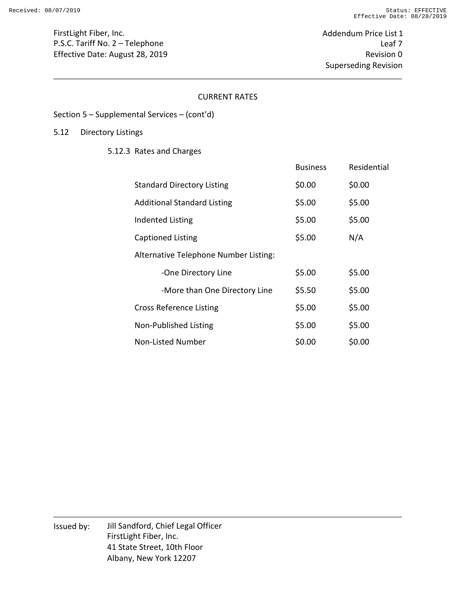Addendum Price List 1 Leaf 7 Revision 0 Superseding Revision

#### CURRENT RATES

#### Section 5 – Supplemental Services – (cont'd)

#### 5.12 Directory Listings

5.12.3 Rates and Charges

|                                       | <b>Business</b> | Residential |
|---------------------------------------|-----------------|-------------|
| <b>Standard Directory Listing</b>     | \$0.00          | \$0.00      |
| <b>Additional Standard Listing</b>    | \$5.00          | \$5.00      |
| Indented Listing                      | \$5.00          | \$5.00      |
| Captioned Listing                     | \$5.00          | N/A         |
| Alternative Telephone Number Listing: |                 |             |
| -One Directory Line                   | \$5.00          | \$5.00      |
| -More than One Directory Line         | \$5.50          | \$5.00      |
| <b>Cross Reference Listing</b>        | \$5.00          | \$5.00      |
| Non-Published Listing                 | \$5.00          | \$5.00      |
| Non-Listed Number                     | \$0.00          | \$0.00      |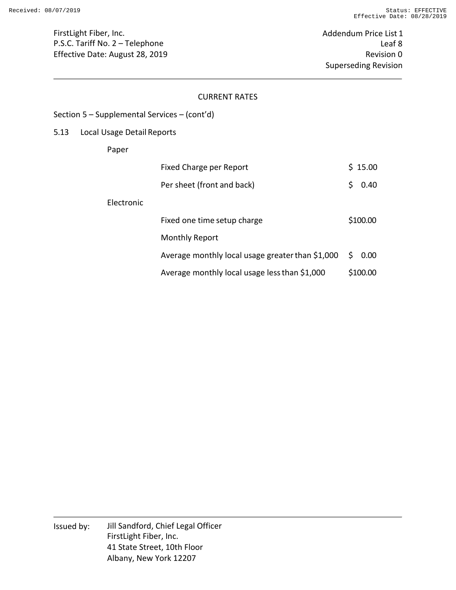Addendum Price List 1 Leaf 8 Revision 0 Superseding Revision

#### CURRENT RATES

#### Section 5 – Supplemental Services – (cont'd)

## 5.13 Local Usage Detail Reports

Paper

|            | Fixed Charge per Report                          |   | \$15.00  |
|------------|--------------------------------------------------|---|----------|
|            | Per sheet (front and back)                       | Ś | 0.40     |
| Electronic |                                                  |   |          |
|            | Fixed one time setup charge                      |   | \$100.00 |
|            | Monthly Report                                   |   |          |
|            | Average monthly local usage greater than \$1,000 |   | 50.00    |
|            | Average monthly local usage less than \$1,000    |   | \$100.00 |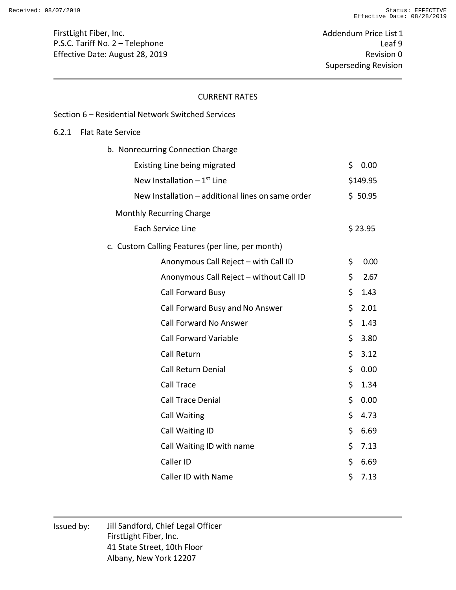Addendum Price List 1 Leaf 9 Revision 0 Superseding Revision

#### CURRENT RATES

|       | Section 6 - Residential Network Switched Services |            |
|-------|---------------------------------------------------|------------|
| 6.2.1 | <b>Flat Rate Service</b>                          |            |
|       | b. Nonrecurring Connection Charge                 |            |
|       | Existing Line being migrated                      | \$<br>0.00 |
|       | New Installation $-1$ <sup>st</sup> Line          | \$149.95   |
|       | New Installation - additional lines on same order | \$50.95    |
|       | <b>Monthly Recurring Charge</b>                   |            |
|       | Each Service Line                                 | \$23.95    |
|       | c. Custom Calling Features (per line, per month)  |            |
|       | Anonymous Call Reject - with Call ID              | \$<br>0.00 |
|       | Anonymous Call Reject - without Call ID           | \$<br>2.67 |
|       | Call Forward Busy                                 | \$<br>1.43 |
|       | Call Forward Busy and No Answer                   | \$<br>2.01 |
|       | <b>Call Forward No Answer</b>                     | \$<br>1.43 |
|       | <b>Call Forward Variable</b>                      | \$<br>3.80 |
|       | Call Return                                       | \$<br>3.12 |
|       | <b>Call Return Denial</b>                         | \$<br>0.00 |
|       | Call Trace                                        | \$<br>1.34 |
|       | <b>Call Trace Denial</b>                          | \$<br>0.00 |
|       | <b>Call Waiting</b>                               | \$<br>4.73 |
|       | Call Waiting ID                                   | \$<br>6.69 |
|       | Call Waiting ID with name                         | \$<br>7.13 |
|       | Caller ID                                         | \$<br>6.69 |
|       | Caller ID with Name                               | \$<br>7.13 |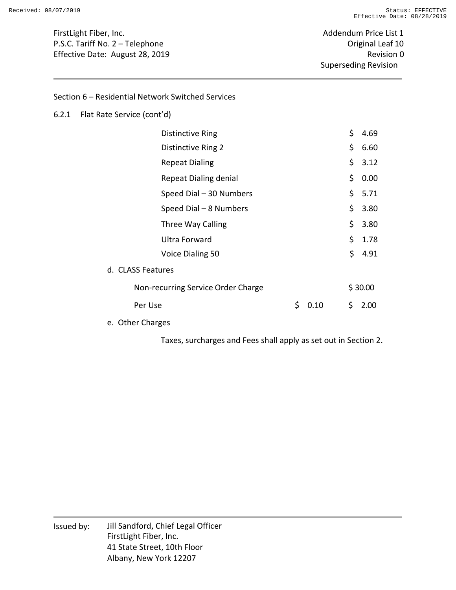Addendum Price List 1 Original Leaf 10 Revision 0 Superseding Revision

Section 6 – Residential Network Switched Services

#### 6.2.1 Flat Rate Service (cont'd)

| Distinctive Ring                   |   |      | \$  | 4.69    |
|------------------------------------|---|------|-----|---------|
| Distinctive Ring 2                 |   |      | \$. | 6.60    |
| <b>Repeat Dialing</b>              |   |      | \$. | 3.12    |
| <b>Repeat Dialing denial</b>       |   |      | \$. | 0.00    |
| Speed Dial - 30 Numbers            |   |      |     | \$5.71  |
| Speed Dial - 8 Numbers             |   |      | \$. | 3.80    |
| Three Way Calling                  |   |      | \$  | 3.80    |
| Ultra Forward                      |   |      | \$. | 1.78    |
| Voice Dialing 50                   |   |      | \$  | 4.91    |
| d. CLASS Features                  |   |      |     |         |
| Non-recurring Service Order Charge |   |      |     | \$30.00 |
| Per Use                            | Ś | 0.10 | \$  | 2.00    |
|                                    |   |      |     |         |

e. Other Charges

Taxes, surcharges and Fees shall apply as set out in Section 2.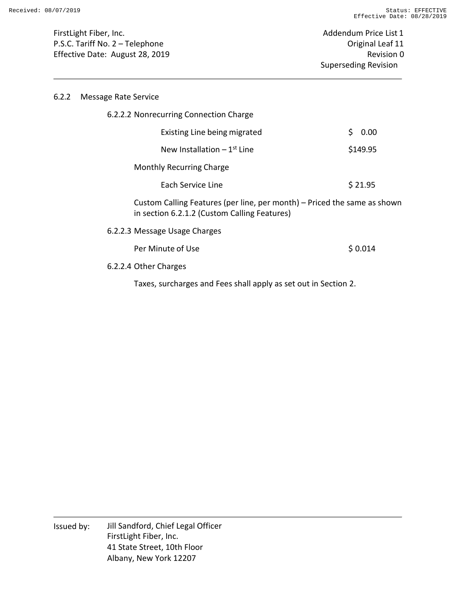#### 6.2.2 Message Rate Service

| 6.2.2.2 Nonrecurring Connection Charge                                                                                   |            |
|--------------------------------------------------------------------------------------------------------------------------|------------|
| Existing Line being migrated                                                                                             | \$<br>0.00 |
| New Installation $-1$ <sup>st</sup> Line                                                                                 | \$149.95   |
| Monthly Recurring Charge                                                                                                 |            |
| Each Service Line                                                                                                        | \$21.95    |
| Custom Calling Features (per line, per month) – Priced the same as shown<br>in section 6.2.1.2 (Custom Calling Features) |            |
| 6.2.2.3 Message Usage Charges                                                                                            |            |
| Per Minute of Use                                                                                                        | \$0.014    |
| 6.2.2.4 Other Charges                                                                                                    |            |

Taxes, surcharges and Fees shall apply as set out in Section 2.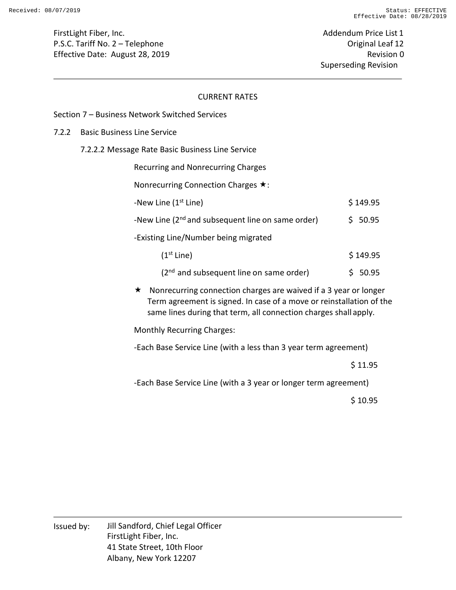Addendum Price List 1 Original Leaf 12 Revision 0 Superseding Revision

#### CURRENT RATES

#### Section 7 – Business Network Switched Services

#### 7.2.2 Basic Business Line Service

7.2.2.2 Message Rate Basic Business Line Service

Recurring and Nonrecurring Charges

Nonrecurring Connection Charges  $\star$ :

| -New Line (1 <sup>st</sup> Line)                              | \$149.95 |
|---------------------------------------------------------------|----------|
| -New Line (2 <sup>nd</sup> and subsequent line on same order) | \$50.95  |
| -Existing Line/Number being migrated                          |          |
| (1 <sup>st</sup> Line)                                        | \$149.95 |

| $\sim$ |                                              |         |
|--------|----------------------------------------------|---------|
|        |                                              |         |
|        | $(2^{nd}$ and subsequent line on same order) | \$50.95 |

 $\star$  Nonrecurring connection charges are waived if a 3 year or longer Term agreement is signed. In case of a move or reinstallation of the same lines during that term, all connection charges shall apply.

Monthly Recurring Charges:

-Each Base Service Line (with a less than 3 year term agreement)

\$ 11.95

-Each Base Service Line (with a 3 year or longer term agreement)

\$ 10.95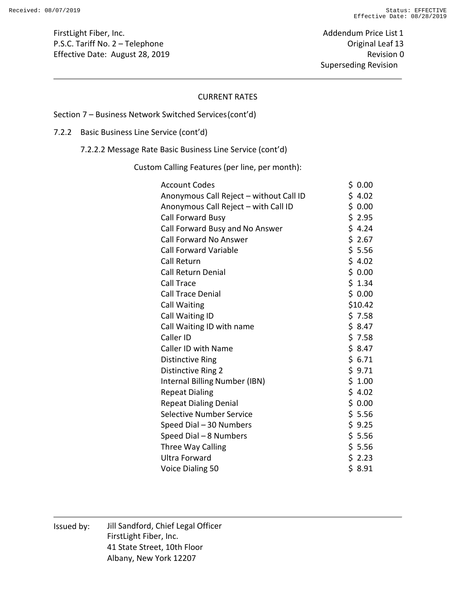Addendum Price List 1 Original Leaf 13 Revision 0 Superseding Revision

#### CURRENT RATES

#### Section 7 – Business Network Switched Services (cont'd)

# 7.2.2 Basic Business Line Service (cont'd)

7.2.2.2 Message Rate Basic Business Line Service (cont'd)

Custom Calling Features (per line, per month):

| <b>Account Codes</b>                    | \$0.00  |
|-----------------------------------------|---------|
| Anonymous Call Reject - without Call ID | \$4.02  |
| Anonymous Call Reject - with Call ID    | \$0.00  |
| Call Forward Busy                       | \$2.95  |
| Call Forward Busy and No Answer         | \$4.24  |
| <b>Call Forward No Answer</b>           | \$2.67  |
| <b>Call Forward Variable</b>            | \$5.56  |
| <b>Call Return</b>                      | \$4.02  |
| <b>Call Return Denial</b>               | \$0.00  |
| Call Trace                              | \$1.34  |
| <b>Call Trace Denial</b>                | \$0.00  |
| <b>Call Waiting</b>                     | \$10.42 |
| Call Waiting ID                         | \$7.58  |
| Call Waiting ID with name               | \$8.47  |
| Caller ID                               | \$7.58  |
| <b>Caller ID with Name</b>              | \$8.47  |
| <b>Distinctive Ring</b>                 | \$6.71  |
| Distinctive Ring 2                      | \$9.71  |
| Internal Billing Number (IBN)           | \$1.00  |
| <b>Repeat Dialing</b>                   | \$4.02  |
| <b>Repeat Dialing Denial</b>            | \$0.00  |
| <b>Selective Number Service</b>         | \$5.56  |
| Speed Dial - 30 Numbers                 | \$9.25  |
| Speed Dial - 8 Numbers                  | \$5.56  |
| Three Way Calling                       | \$5.56  |
| <b>Ultra Forward</b>                    | \$2.23  |
| Voice Dialing 50                        | \$8.91  |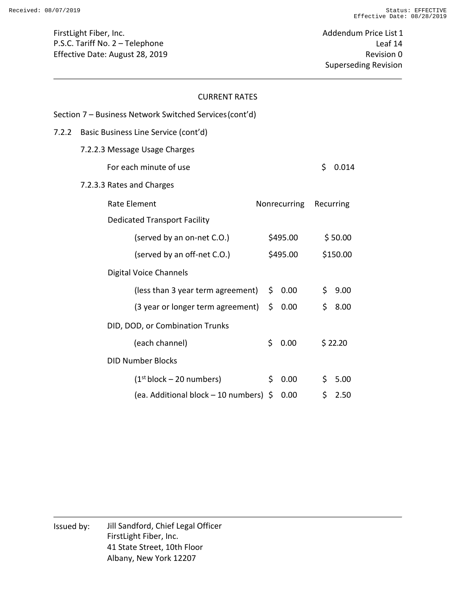Addendum Price List 1 Leaf 14 Revision 0 Superseding Revision

#### CURRENT RATES

|       | Section 7 – Business Network Switched Services (cont'd) |              |     |           |
|-------|---------------------------------------------------------|--------------|-----|-----------|
| 7.2.2 | Basic Business Line Service (cont'd)                    |              |     |           |
|       | 7.2.2.3 Message Usage Charges                           |              |     |           |
|       | For each minute of use                                  |              | \$  | 0.014     |
|       | 7.2.3.3 Rates and Charges                               |              |     |           |
|       | <b>Rate Element</b>                                     | Nonrecurring |     | Recurring |
|       | <b>Dedicated Transport Facility</b>                     |              |     |           |
|       | (served by an on-net C.O.)                              | \$495.00     |     | \$50.00   |
|       | (served by an off-net C.O.)                             | \$495.00     |     | \$150.00  |
|       | <b>Digital Voice Channels</b>                           |              |     |           |
|       | (less than 3 year term agreement)                       | \$0.00       | \$. | 9.00      |
|       | (3 year or longer term agreement)                       | \$0.00       | \$  | 8.00      |
|       | DID, DOD, or Combination Trunks                         |              |     |           |
|       | (each channel)                                          | \$<br>0.00   |     | \$22.20   |
|       | <b>DID Number Blocks</b>                                |              |     |           |
|       | (1 <sup>st</sup> block – 20 numbers)                    | \$<br>0.00   | \$. | 5.00      |
|       | (ea. Additional block – 10 numbers) \$                  | 0.00         | \$  | 2.50      |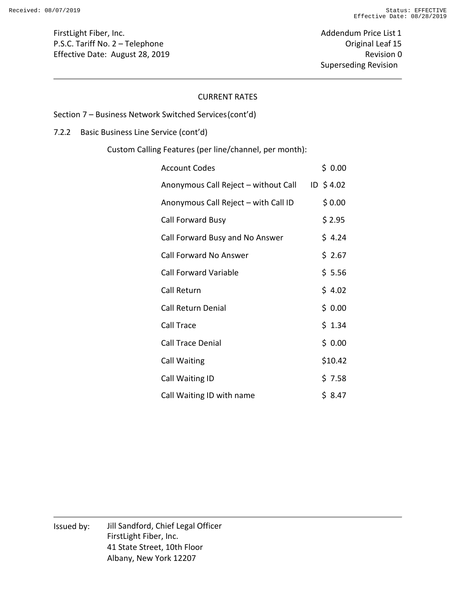Addendum Price List 1 Original Leaf 15 Revision 0 Superseding Revision

#### CURRENT RATES

# Section 7 – Business Network Switched Services (cont'd)

## 7.2.2 Basic Business Line Service (cont'd)

Custom Calling Features (per line/channel, per month):

| <b>Account Codes</b>                 | \$ 0.00     |
|--------------------------------------|-------------|
| Anonymous Call Reject – without Call | $ID$ \$4.02 |
| Anonymous Call Reject - with Call ID | \$0.00      |
| Call Forward Busy                    | \$2.95      |
| Call Forward Busy and No Answer      | \$4.24      |
| <b>Call Forward No Answer</b>        | \$ 2.67     |
| <b>Call Forward Variable</b>         | \$5.56      |
| Call Return                          | \$4.02      |
| <b>Call Return Denial</b>            | \$0.00      |
| Call Trace                           | \$1.34      |
| <b>Call Trace Denial</b>             | \$0.00      |
| Call Waiting                         | \$10.42     |
| Call Waiting ID                      | \$ 7.58     |
| Call Waiting ID with name            | \$ 8.47     |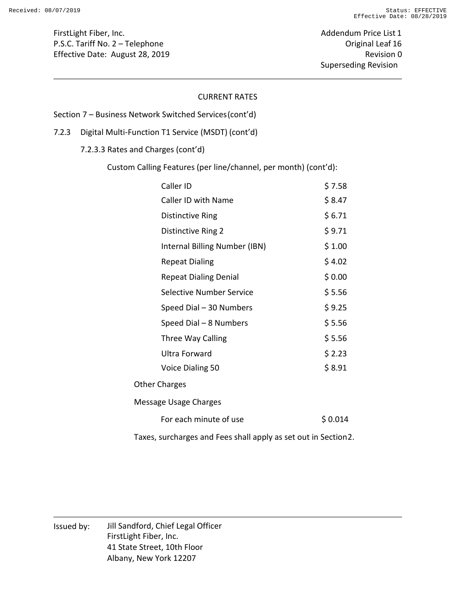Addendum Price List 1 Original Leaf 16 Revision 0 Superseding Revision

#### CURRENT RATES

Section 7 – Business Network Switched Services (cont'd)

7.2.3 Digital Multi-Function T1 Service (MSDT) (cont'd)

7.2.3.3 Rates and Charges (cont'd)

Custom Calling Features (per line/channel, per month) (cont'd):

| Caller ID                                                      | \$7.58  |
|----------------------------------------------------------------|---------|
| Caller ID with Name                                            | \$8.47  |
| <b>Distinctive Ring</b>                                        | \$6.71  |
| <b>Distinctive Ring 2</b>                                      | \$9.71  |
| Internal Billing Number (IBN)                                  | \$1.00  |
| <b>Repeat Dialing</b>                                          | \$4.02  |
| <b>Repeat Dialing Denial</b>                                   | \$0.00  |
| <b>Selective Number Service</b>                                | \$5.56  |
| Speed Dial - 30 Numbers                                        | \$9.25  |
| Speed Dial - 8 Numbers                                         | \$5.56  |
| Three Way Calling                                              | \$5.56  |
| Ultra Forward                                                  | \$2.23  |
| Voice Dialing 50                                               | \$8.91  |
| <b>Other Charges</b>                                           |         |
| Message Usage Charges                                          |         |
| For each minute of use                                         | \$0.014 |
| Taxes, surcharges and Fees shall apply as set out in Section2. |         |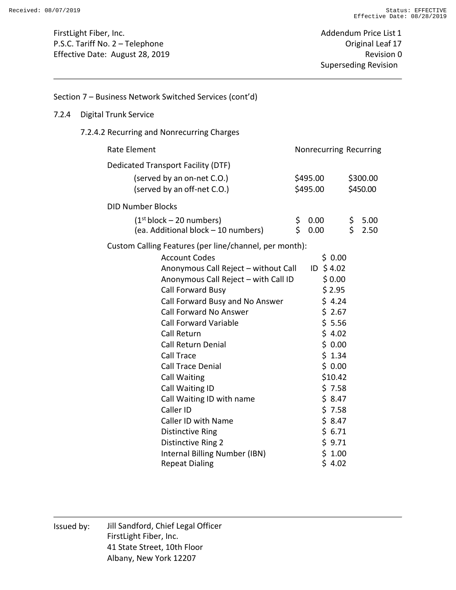## Section 7 – Business Network Switched Services (cont'd)

#### 7.2.4 Digital Trunk Service

## 7.2.4.2 Recurring and Nonrecurring Charges

| Rate Element<br>Nonrecurring Recurring                                      |          |              |           |              |  |
|-----------------------------------------------------------------------------|----------|--------------|-----------|--------------|--|
| Dedicated Transport Facility (DTF)                                          |          |              |           |              |  |
| (served by an on-net C.O.)                                                  |          | \$495.00     |           | \$300.00     |  |
| (served by an off-net C.O.)                                                 |          | \$495.00     |           | \$450.00     |  |
| <b>DID Number Blocks</b>                                                    |          |              |           |              |  |
| (1 <sup>st</sup> block – 20 numbers)<br>(ea. Additional block - 10 numbers) | \$<br>\$ | 0.00<br>0.00 | \$.<br>\$ | 5.00<br>2.50 |  |
| Custom Calling Features (per line/channel, per month):                      |          |              |           |              |  |
| <b>Account Codes</b>                                                        |          | \$0.00       |           |              |  |
| Anonymous Call Reject - without Call                                        |          | ID \$4.02    |           |              |  |
| Anonymous Call Reject - with Call ID                                        |          | \$0.00       |           |              |  |
| Call Forward Busy                                                           |          | \$2.95       |           |              |  |
| Call Forward Busy and No Answer                                             |          | \$4.24       |           |              |  |
| <b>Call Forward No Answer</b>                                               |          | \$2.67       |           |              |  |
| <b>Call Forward Variable</b>                                                |          | \$5.56       |           |              |  |
| Call Return                                                                 |          | \$4.02       |           |              |  |
| <b>Call Return Denial</b>                                                   |          | \$0.00       |           |              |  |
| Call Trace                                                                  |          | \$1.34       |           |              |  |
| <b>Call Trace Denial</b>                                                    |          | \$0.00       |           |              |  |
| <b>Call Waiting</b>                                                         |          | \$10.42      |           |              |  |
| Call Waiting ID                                                             |          | \$7.58       |           |              |  |
| Call Waiting ID with name                                                   |          | \$8.47       |           |              |  |
| Caller ID                                                                   |          | \$7.58       |           |              |  |
| Caller ID with Name                                                         |          | \$8.47       |           |              |  |
| <b>Distinctive Ring</b>                                                     |          | \$6.71       |           |              |  |
| <b>Distinctive Ring 2</b>                                                   |          | \$9.71       |           |              |  |
| Internal Billing Number (IBN)                                               |          | \$1.00       |           |              |  |
| <b>Repeat Dialing</b>                                                       |          | \$4.02       |           |              |  |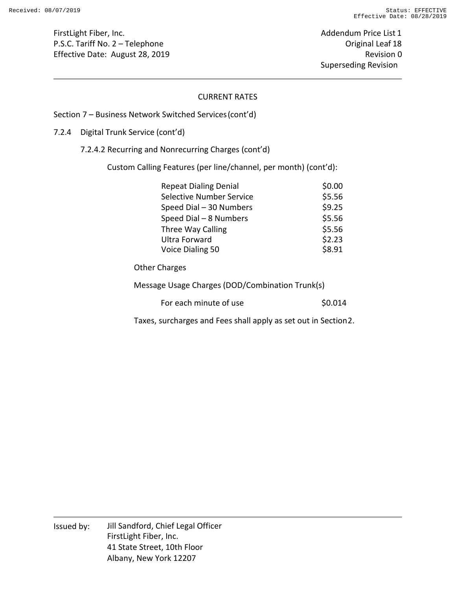Addendum Price List 1 Original Leaf 18 Revision 0 Superseding Revision

#### CURRENT RATES

#### Section 7 – Business Network Switched Services (cont'd)

#### 7.2.4 Digital Trunk Service (cont'd)

7.2.4.2 Recurring and Nonrecurring Charges (cont'd)

Custom Calling Features (per line/channel, per month) (cont'd):

| <b>Repeat Dialing Denial</b>    | \$0.00 |
|---------------------------------|--------|
| <b>Selective Number Service</b> | \$5.56 |
| Speed Dial - 30 Numbers         | \$9.25 |
| Speed Dial - 8 Numbers          | \$5.56 |
| Three Way Calling               | \$5.56 |
| <b>Ultra Forward</b>            | \$2.23 |
| Voice Dialing 50                | \$8.91 |

Other Charges

Message Usage Charges (DOD/Combination Trunk(s)

| For each minute of use | \$0.014 |
|------------------------|---------|
|------------------------|---------|

Taxes, surcharges and Fees shall apply as set out in Section 2.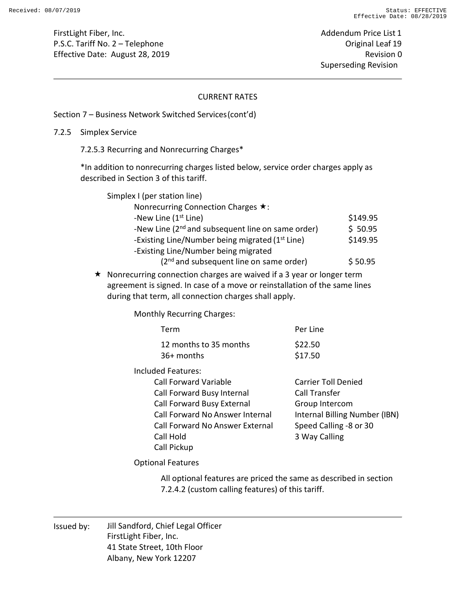Addendum Price List 1 Original Leaf 19 Revision 0 Superseding Revision

#### CURRENT RATES

#### Section 7 – Business Network Switched Services (cont'd)

#### 7.2.5 Simplex Service

7.2.5.3 Recurring and Nonrecurring Charges\*

\*In addition to nonrecurring charges listed below, service order charges apply as described in Section 3 of this tariff.

| Simplex I (per station line)                                |          |
|-------------------------------------------------------------|----------|
| Nonrecurring Connection Charges $\star$ :                   |          |
| -New Line $(1st$ Line)                                      | \$149.95 |
| -New Line $(2^{nd}$ and subsequent line on same order)      | \$50.95  |
| -Existing Line/Number being migrated (1 <sup>st</sup> Line) | \$149.95 |
| -Existing Line/Number being migrated                        |          |
| $(2nd$ and subsequent line on same order)                   | \$50.95  |

 $\star$  Nonrecurring connection charges are waived if a 3 year or longer term agreement is signed. In case of a move or reinstallation of the same lines during that term, all connection charges shall apply.

Monthly Recurring Charges:

| Term                            | Per Line                      |
|---------------------------------|-------------------------------|
| 12 months to 35 months          | \$22.50                       |
| 36+ months                      | \$17.50                       |
| Included Features:              |                               |
| <b>Call Forward Variable</b>    | Carrier Toll Denied           |
| Call Forward Busy Internal      | Call Transfer                 |
| Call Forward Busy External      | Group Intercom                |
| Call Forward No Answer Internal | Internal Billing Number (IBN) |
| Call Forward No Answer External | Speed Calling -8 or 30        |
| Call Hold                       | 3 Way Calling                 |
| Call Pickup                     |                               |

Optional Features

All optional features are priced the same as described in section 7.2.4.2 (custom calling features) of this tariff.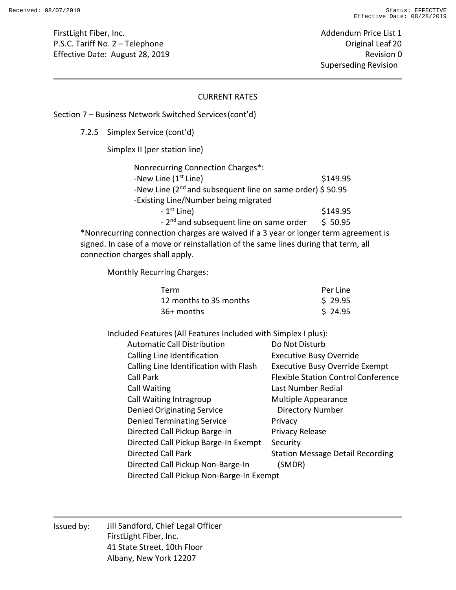Addendum Price List 1 Original Leaf 20 Revision 0 Superseding Revision

#### CURRENT RATES

#### Section 7 – Business Network Switched Services (cont'd)

7.2.5 Simplex Service (cont'd)

Simplex II (per station line)

| Nonrecurring Connection Charges*:                                     |          |
|-----------------------------------------------------------------------|----------|
| -New Line $(1st$ Line)                                                | \$149.95 |
| -New Line (2 <sup>nd</sup> and subsequent line on same order) \$50.95 |          |
| -Existing Line/Number being migrated                                  |          |
| $-1st$ Line)                                                          | \$149.95 |
| - 2 <sup>nd</sup> and subsequent line on same order                   | \$50.95  |
|                                                                       |          |

\*Nonrecurring connection charges are waived if a 3 year or longer term agreement is signed. In case of a move or reinstallation of the same lines during that term, all connection charges shall apply.

Monthly Recurring Charges:

| Term                   | Per Line |
|------------------------|----------|
| 12 months to 35 months | \$29.95  |
| 36+ months             | \$24.95  |

Included Features (All Features Included with Simplex I plus):

| <b>Automatic Call Distribution</b>       | Do Not Disturb                             |
|------------------------------------------|--------------------------------------------|
| Calling Line Identification              | <b>Executive Busy Override</b>             |
| Calling Line Identification with Flash   | <b>Executive Busy Override Exempt</b>      |
| <b>Call Park</b>                         | <b>Flexible Station Control Conference</b> |
| <b>Call Waiting</b>                      | Last Number Redial                         |
| Call Waiting Intragroup                  | <b>Multiple Appearance</b>                 |
| <b>Denied Originating Service</b>        | <b>Directory Number</b>                    |
| <b>Denied Terminating Service</b>        | Privacy                                    |
| Directed Call Pickup Barge-In            | Privacy Release                            |
| Directed Call Pickup Barge-In Exempt     | Security                                   |
| Directed Call Park                       | <b>Station Message Detail Recording</b>    |
| Directed Call Pickup Non-Barge-In        | (SMDR)                                     |
| Directed Call Pickup Non-Barge-In Exempt |                                            |
|                                          |                                            |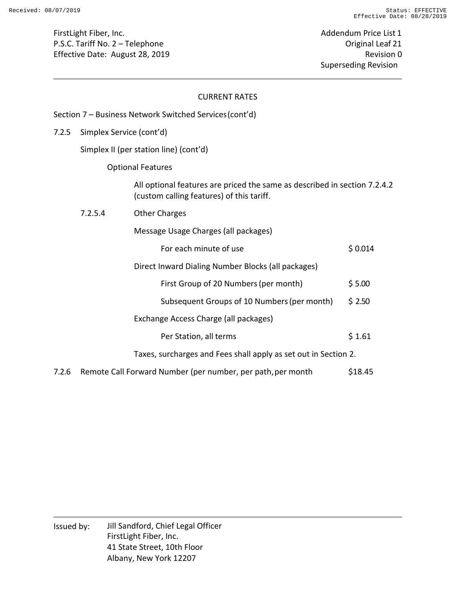Section 7 – Business Network Switched Services (cont'd)

Addendum Price List 1 Original Leaf 21 Revision 0 Superseding Revision

#### CURRENT RATES

| 7.2.5 | Simplex Service (cont'd)               |                                                                                                                        |         |  |  |
|-------|----------------------------------------|------------------------------------------------------------------------------------------------------------------------|---------|--|--|
|       | Simplex II (per station line) (cont'd) |                                                                                                                        |         |  |  |
|       | <b>Optional Features</b>               |                                                                                                                        |         |  |  |
|       |                                        | All optional features are priced the same as described in section 7.2.4.2<br>(custom calling features) of this tariff. |         |  |  |
|       | 7.2.5.4                                | <b>Other Charges</b>                                                                                                   |         |  |  |
|       |                                        | Message Usage Charges (all packages)                                                                                   |         |  |  |
|       |                                        | For each minute of use                                                                                                 | \$0.014 |  |  |
|       |                                        | Direct Inward Dialing Number Blocks (all packages)                                                                     |         |  |  |
|       |                                        | First Group of 20 Numbers (per month)                                                                                  | \$5.00  |  |  |
|       |                                        | Subsequent Groups of 10 Numbers (per month)                                                                            | \$2.50  |  |  |
|       |                                        | Exchange Access Charge (all packages)                                                                                  |         |  |  |
|       |                                        | Per Station, all terms                                                                                                 | \$1.61  |  |  |
|       |                                        | Taxes, surcharges and Fees shall apply as set out in Section 2.                                                        |         |  |  |
|       |                                        |                                                                                                                        |         |  |  |

7.2.6 Remote Call Forward Number (per number, per path, per month \$18.45